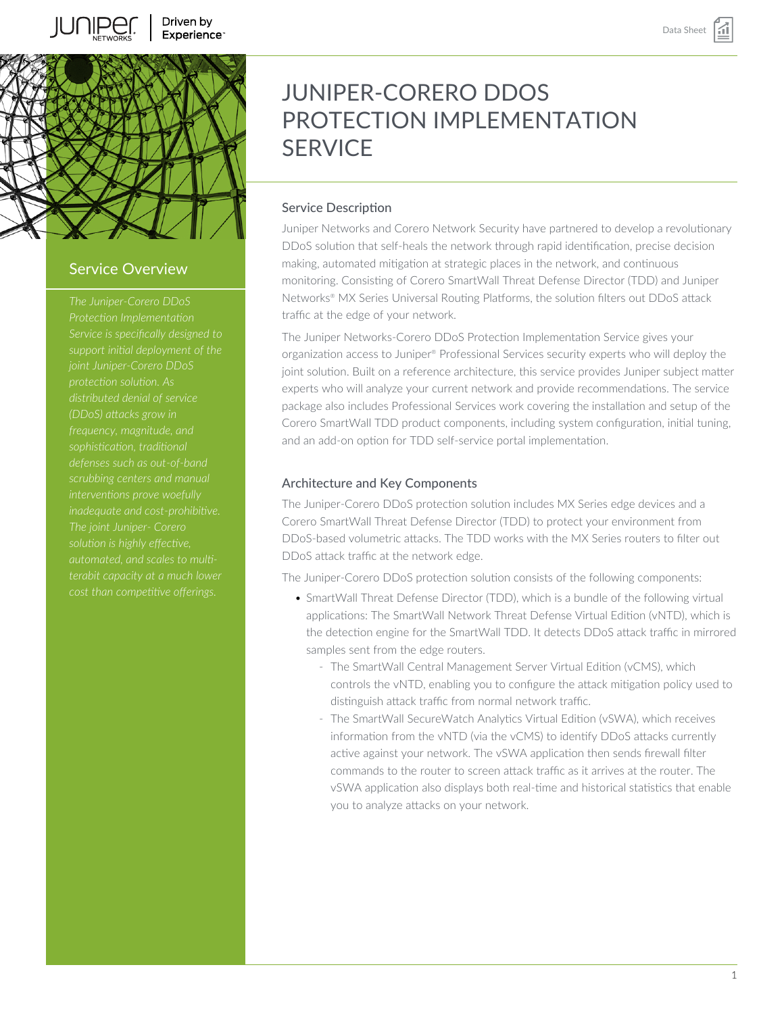



## Service Overview

*Service is specifically designed to protection solution. As distributed denial of service frequency, magnitude, and sophistication, traditional defenses such as out-of-band interventions prove woefully inadequate and cost-prohibitive. The joint Juniper- Corero solution is highly effective, automated, and scales to multi-*

# JUNIPER-CORERO DDOS PROTECTION IMPI EMENTATION **SERVICE**

## Service Description

Juniper Networks and Corero Network Security have partnered to develop a revolutionary DDoS solution that self-heals the network through rapid identification, precise decision making, automated mitigation at strategic places in the network, and continuous monitoring. Consisting of Corero SmartWall Threat Defense Director (TDD) and Juniper Networks® MX Series Universal Routing Platforms, the solution filters out DDoS attack traffic at the edge of your network.

The Juniper Networks-Corero DDoS Protection Implementation Service gives your organization access to Juniper® Professional Services security experts who will deploy the joint solution. Built on a reference architecture, this service provides Juniper subject matter experts who will analyze your current network and provide recommendations. The service package also includes Professional Services work covering the installation and setup of the Corero SmartWall TDD product components, including system configuration, initial tuning, and an add-on option for TDD self-service portal implementation.

## Architecture and Key Components

The Juniper-Corero DDoS protection solution includes MX Series edge devices and a Corero SmartWall Threat Defense Director (TDD) to protect your environment from DDoS-based volumetric attacks. The TDD works with the MX Series routers to filter out DDoS attack traffic at the network edge.

The Juniper-Corero DDoS protection solution consists of the following components:

- SmartWall Threat Defense Director (TDD), which is a bundle of the following virtual applications: The SmartWall Network Threat Defense Virtual Edition (vNTD), which is the detection engine for the SmartWall TDD. It detects DDoS attack traffic in mirrored samples sent from the edge routers.
	- The SmartWall Central Management Server Virtual Edition (vCMS), which controls the vNTD, enabling you to configure the attack mitigation policy used to distinguish attack traffic from normal network traffic.
	- The SmartWall SecureWatch Analytics Virtual Edition (vSWA), which receives information from the vNTD (via the vCMS) to identify DDoS attacks currently active against your network. The vSWA application then sends firewall filter commands to the router to screen attack traffic as it arrives at the router. The vSWA application also displays both real-time and historical statistics that enable you to analyze attacks on your network.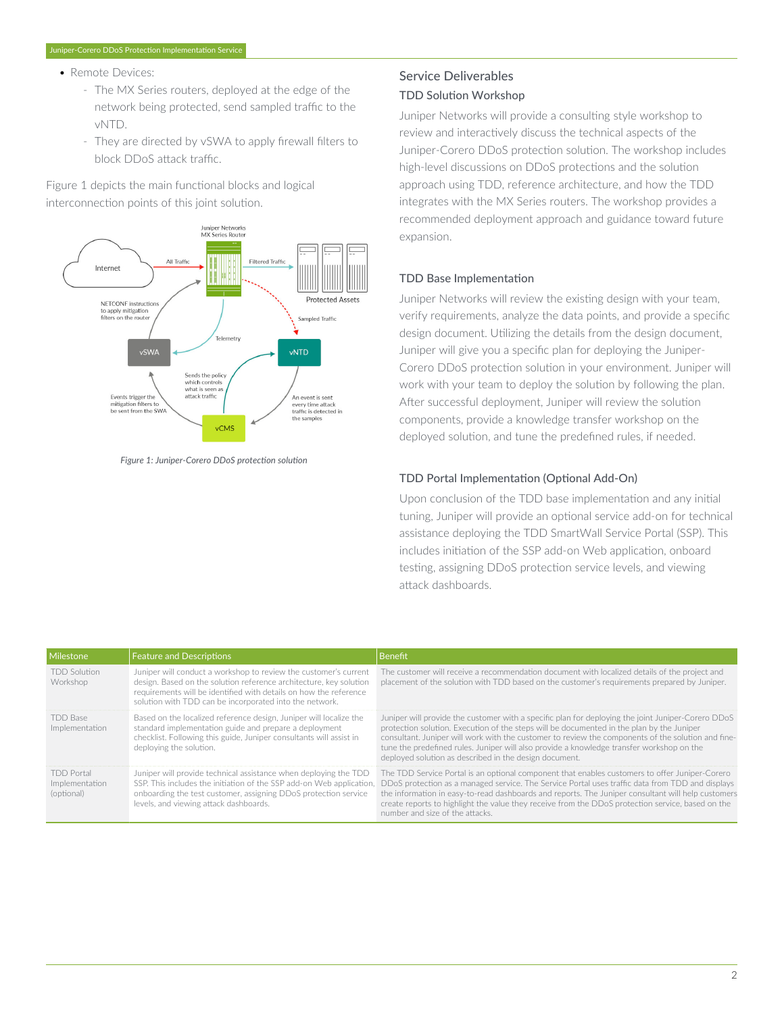#### • Remote Devices:

- The MX Series routers, deployed at the edge of the network being protected, send sampled traffic to the vNTD.
- They are directed by vSWA to apply firewall filters to block DDoS attack traffic.

Figure 1 depicts the main functional blocks and logical interconnection points of this joint solution.



*Figure 1: Juniper-Corero DDoS protection solution*

## Service Deliverables TDD Solution Workshop

Juniper Networks will provide a consulting style workshop to review and interactively discuss the technical aspects of the Juniper-Corero DDoS protection solution. The workshop includes high-level discussions on DDoS protections and the solution approach using TDD, reference architecture, and how the TDD integrates with the MX Series routers. The workshop provides a recommended deployment approach and guidance toward future expansion.

## TDD Base Implementation

Juniper Networks will review the existing design with your team, verify requirements, analyze the data points, and provide a specific design document. Utilizing the details from the design document, Juniper will give you a specific plan for deploying the Juniper-Corero DDoS protection solution in your environment. Juniper will work with your team to deploy the solution by following the plan. After successful deployment, Juniper will review the solution components, provide a knowledge transfer workshop on the deployed solution, and tune the predefined rules, if needed.

## TDD Portal Implementation (Optional Add-On)

Upon conclusion of the TDD base implementation and any initial tuning, Juniper will provide an optional service add-on for technical assistance deploying the TDD SmartWall Service Portal (SSP). This includes initiation of the SSP add-on Web application, onboard testing, assigning DDoS protection service levels, and viewing attack dashboards.

| <b>Milestone</b>                                  | <b>Feature and Descriptions</b>                                                                                                                                                                                                                                        | <b>Benefit</b>                                                                                                                                                                                                                                                                                                                                                                                                                                               |
|---------------------------------------------------|------------------------------------------------------------------------------------------------------------------------------------------------------------------------------------------------------------------------------------------------------------------------|--------------------------------------------------------------------------------------------------------------------------------------------------------------------------------------------------------------------------------------------------------------------------------------------------------------------------------------------------------------------------------------------------------------------------------------------------------------|
| <b>TDD Solution</b><br>Workshop                   | Juniper will conduct a workshop to review the customer's current<br>design. Based on the solution reference architecture, key solution<br>requirements will be identified with details on how the reference<br>solution with TDD can be incorporated into the network. | The customer will receive a recommendation document with localized details of the project and<br>placement of the solution with TDD based on the customer's requirements prepared by Juniper.                                                                                                                                                                                                                                                                |
| TDD Base<br>Implementation                        | Based on the localized reference design, Juniper will localize the<br>standard implementation guide and prepare a deployment<br>checklist. Following this guide, Juniper consultants will assist in<br>deploying the solution.                                         | Juniper will provide the customer with a specific plan for deploying the joint Juniper-Corero DDoS<br>protection solution. Execution of the steps will be documented in the plan by the Juniper<br>consultant. Juniper will work with the customer to review the components of the solution and fine-<br>tune the predefined rules. Juniper will also provide a knowledge transfer workshop on the<br>deployed solution as described in the design document. |
| <b>TDD Portal</b><br>Implementation<br>(optional) | Juniper will provide technical assistance when deploying the TDD<br>SSP. This includes the initiation of the SSP add-on Web application,<br>onboarding the test customer, assigning DDoS protection service<br>levels, and viewing attack dashboards.                  | The TDD Service Portal is an optional component that enables customers to offer Juniper-Corero<br>DDoS protection as a managed service. The Service Portal uses traffic data from TDD and displays<br>the information in easy-to-read dashboards and reports. The Juniper consultant will help customers<br>create reports to highlight the value they receive from the DDoS protection service, based on the<br>number and size of the attacks.             |